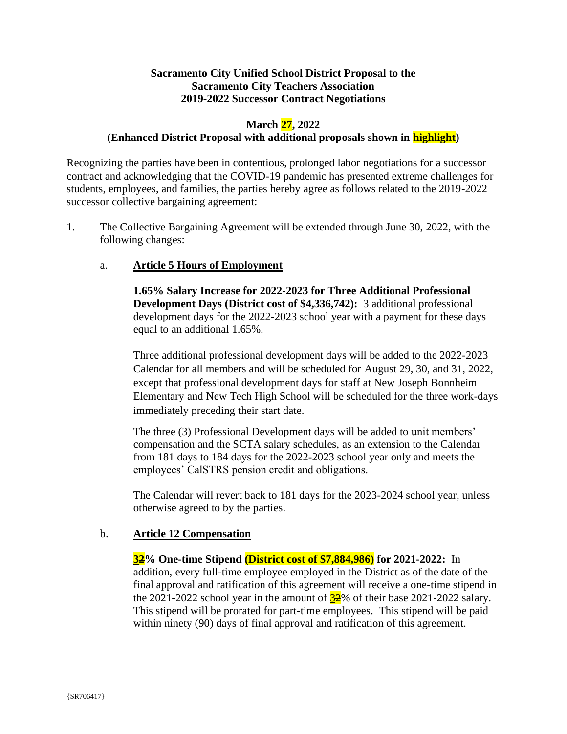# **Sacramento City Unified School District Proposal to the Sacramento City Teachers Association 2019-2022 Successor Contract Negotiations**

# **March 27, 2022**

# **(Enhanced District Proposal with additional proposals shown in highlight)**

Recognizing the parties have been in contentious, prolonged labor negotiations for a successor contract and acknowledging that the COVID-19 pandemic has presented extreme challenges for students, employees, and families, the parties hereby agree as follows related to the 2019-2022 successor collective bargaining agreement:

1. The Collective Bargaining Agreement will be extended through June 30, 2022, with the following changes:

### a. **Article 5 Hours of Employment**

**1.65% Salary Increase for 2022-2023 for Three Additional Professional Development Days (District cost of \$4,336,742):** 3 additional professional development days for the 2022-2023 school year with a payment for these days equal to an additional 1.65%.

Three additional professional development days will be added to the 2022-2023 Calendar for all members and will be scheduled for August 29, 30, and 31, 2022, except that professional development days for staff at New Joseph Bonnheim Elementary and New Tech High School will be scheduled for the three work-days immediately preceding their start date.

The three (3) Professional Development days will be added to unit members' compensation and the SCTA salary schedules, as an extension to the Calendar from 181 days to 184 days for the 2022-2023 school year only and meets the employees' CalSTRS pension credit and obligations.

The Calendar will revert back to 181 days for the 2023-2024 school year, unless otherwise agreed to by the parties.

### b. **Article 12 Compensation**

**32% One-time Stipend (District cost of \$7,884,986) for 2021-2022:** In addition, every full-time employee employed in the District as of the date of the final approval and ratification of this agreement will receive a one-time stipend in the 2021-2022 school year in the amount of  $32\%$  of their base 2021-2022 salary. This stipend will be prorated for part-time employees. This stipend will be paid within ninety (90) days of final approval and ratification of this agreement.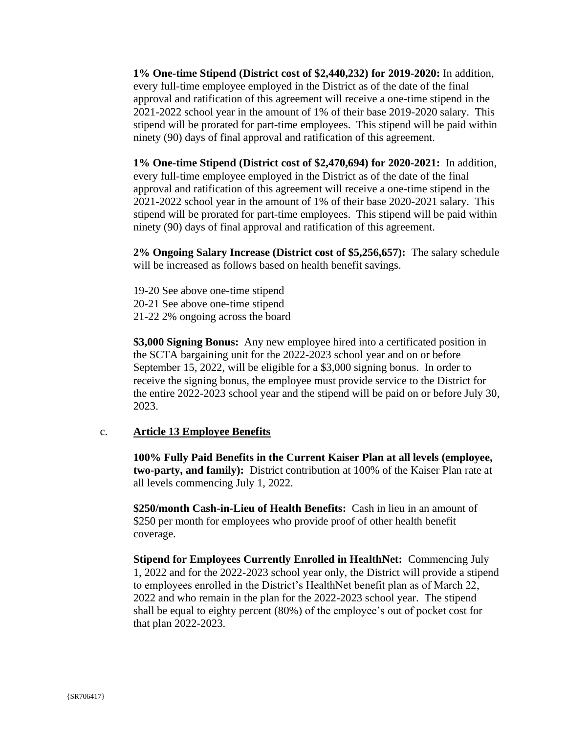**1% One-time Stipend (District cost of \$2,440,232) for 2019-2020:** In addition, every full-time employee employed in the District as of the date of the final approval and ratification of this agreement will receive a one-time stipend in the 2021-2022 school year in the amount of 1% of their base 2019-2020 salary. This stipend will be prorated for part-time employees. This stipend will be paid within ninety (90) days of final approval and ratification of this agreement.

**1% One-time Stipend (District cost of \$2,470,694) for 2020-2021:** In addition, every full-time employee employed in the District as of the date of the final approval and ratification of this agreement will receive a one-time stipend in the 2021-2022 school year in the amount of 1% of their base 2020-2021 salary. This stipend will be prorated for part-time employees. This stipend will be paid within ninety (90) days of final approval and ratification of this agreement.

**2% Ongoing Salary Increase (District cost of \$5,256,657):** The salary schedule will be increased as follows based on health benefit savings.

19-20 See above one-time stipend 20-21 See above one-time stipend 21-22 2% ongoing across the board

**\$3,000 Signing Bonus:** Any new employee hired into a certificated position in the SCTA bargaining unit for the 2022-2023 school year and on or before September 15, 2022, will be eligible for a \$3,000 signing bonus. In order to receive the signing bonus, the employee must provide service to the District for the entire 2022-2023 school year and the stipend will be paid on or before July 30, 2023.

### c. **Article 13 Employee Benefits**

**100% Fully Paid Benefits in the Current Kaiser Plan at all levels (employee, two-party, and family):** District contribution at 100% of the Kaiser Plan rate at all levels commencing July 1, 2022.

**\$250/month Cash-in-Lieu of Health Benefits:** Cash in lieu in an amount of \$250 per month for employees who provide proof of other health benefit coverage.

**Stipend for Employees Currently Enrolled in HealthNet:** Commencing July 1, 2022 and for the 2022-2023 school year only, the District will provide a stipend to employees enrolled in the District's HealthNet benefit plan as of March 22, 2022 and who remain in the plan for the 2022-2023 school year. The stipend shall be equal to eighty percent (80%) of the employee's out of pocket cost for that plan 2022-2023.